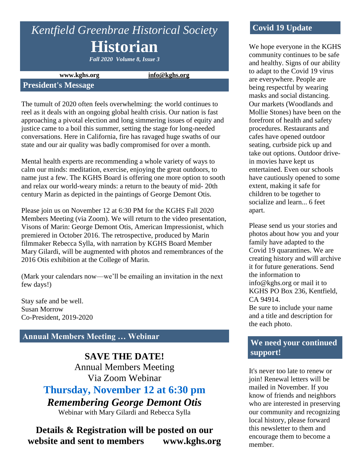# *Kentfield Greenbrae Historical Society* **Historian**

*Fall 2020 Volume 8, Issue 3*

**www.kghs.org [info@kghs.org](mailto:info@kghs.org)**

#### **President's Message**

The tumult of 2020 often feels overwhelming: the world continues to reel as it deals with an ongoing global health crisis. Our nation is fast approaching a pivotal election and long simmering issues of equity and justice came to a boil this summer, setting the stage for long-needed conversations. Here in California, fire has ravaged huge swaths of our state and our air quality was badly compromised for over a month.

Mental health experts are recommending a whole variety of ways to calm our minds: meditation, exercise, enjoying the great outdoors, to name just a few. The KGHS Board is offering one more option to sooth and relax our world-weary minds: a return to the beauty of mid- 20th century Marin as depicted in the paintings of George Demont Otis.

Please join us on November 12 at 6:30 PM for the KGHS Fall 2020 Members Meeting (via Zoom). We will return to the video presentation, Visons of Marin: George Demont Otis, American Impressionist, which premiered in October 2016. The retrospective, produced by Marin filmmaker Rebecca Sylla, with narration by KGHS Board Member Mary Gilardi, will be augmented with photos and remembrances of the 2016 Otis exhibition at the College of Marin.

(Mark your calendars now—we'll be emailing an invitation in the next few days!)

Stay safe and be well. Susan Morrow Co-President, 2019-2020

# **Annual Members Meeting … Webinar**

**SAVE THE DATE!** Annual Members Meeting Via Zoom Webinar **Thursday, November 12 at 6:30 pm** *Remembering George Demont Otis* Webinar with Mary Gilardi and Rebecca Sylla

# **Details & Registration will be posted on our website and sent to members www.kghs.org**

## **Covid 19 Update**

We hope everyone in the KGHS community continues to be safe and healthy. Signs of our ability to adapt to the Covid 19 virus are everywhere. People are being respectful by wearing masks and social distancing. Our markets (Woodlands and Mollie Stones) have been on the forefront of health and safety procedures. Restaurants and cafes have opened outdoor seating, curbside pick up and take out options. Outdoor drivein movies have kept us entertained. Even our schools have cautiously opened to some extent, making it safe for children to be together to socialize and learn... 6 feet apart.

Please send us your stories and photos about how you and your family have adapted to the Covid 19 quarantines. We are creating history and will archive it for future generations. Send the information to info@kghs.org or mail it to KGHS PO Box 236, Kentfield, CA 94914. Be sure to include your name

and a title and description for the each photo.

## **We need your continued support!**

It's never too late to renew or join! Renewal letters will be mailed in November. If you know of friends and neighbors who are interested in preserving our community and recognizing local history, please forward this newsletter to them and encourage them to become a member.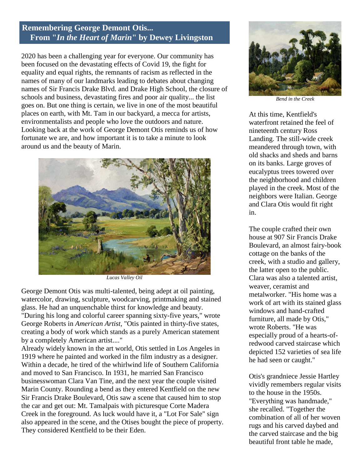#### **Remembering George Demont Otis... From "***In the Heart of Marin***" by Dewey Livingston**

2020 has been a challenging year for everyone. Our community has been focused on the devastating effects of Covid 19, the fight for equality and equal rights, the remnants of racism as reflected in the names of many of our landmarks leading to debates about changing names of Sir Francis Drake Blvd. and Drake High School, the closure of schools and business, devastating fires and poor air quality... the list goes on. But one thing is certain, we live in one of the most beautiful places on earth, with Mt. Tam in our backyard, a mecca for artists, environmentalists and people who love the outdoors and nature. Looking back at the work of George Demont Otis reminds us of how fortunate we are, and how important it is to take a minute to look around us and the beauty of Marin.



*Lucas Valley Oil*

George Demont Otis was multi-talented, being adept at oil painting, watercolor, drawing, sculpture, woodcarving, printmaking and stained glass. He had an unquenchable thirst for knowledge and beauty. "During his long and colorful career spanning sixty-five years," wrote George Roberts in *American Artist,* "Otis painted in thirty-five states, creating a body of work which stands as a purely American statement by a completely American artist...."

Already widely known in the art world, Otis settled in Los Angeles in 1919 where he painted and worked in the film industry as a designer. Within a decade, he tired of the whirlwind life of Southern California and moved to San Francisco. In 1931, he married San Francisco businesswoman Clara Van Tine, and the next year the couple visited Marin County. Rounding a bend as they entered Kentfield on the new Sir Francis Drake Boulevard, Otis saw a scene that caused him to stop the car and get out: Mt. Tamalpais with picturesque Corte Madera Creek in the foreground. As luck would have it, a "Lot For Sale" sign also appeared in the scene, and the Otises bought the piece of property. They considered Kentfield to be their Eden.



*Bend in the Creek*

At this time, Kentfield's waterfront retained the feel of nineteenth century Ross Landing. The still-wide creek meandered through town, with old shacks and sheds and barns on its banks. Large groves of eucalyptus trees towered over the neighborhood and children played in the creek. Most of the neighbors were Italian. George and Clara Otis would fit right in.

The couple crafted their own house at 907 Sir Francis Drake Boulevard, an almost fairy-book cottage on the banks of the creek, with a studio and gallery, the latter open to the public. Clara was also a talented artist, weaver, ceramist and metalworker. "His home was a work of art with its stained glass windows and hand-crafted furniture, all made by Otis," wrote Roberts. "He was especially proud of a hearts-ofredwood carved staircase which depicted 152 varieties of sea life he had seen or caught."

Otis's grandniece Jessie Hartley vividly remembers regular visits to the house in the 1950s. "Everything was handmade," she recalled. "Together the combination of all of her woven rugs and his carved daybed and the carved staircase and the big beautiful front table he made,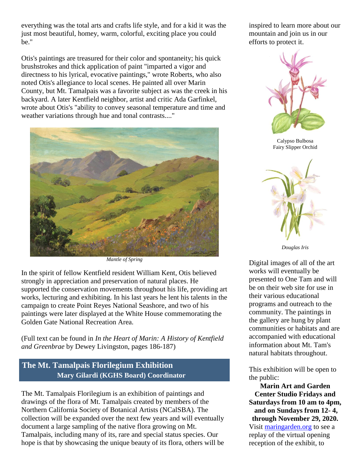everything was the total arts and crafts life style, and for a kid it was the just most beautiful, homey, warm, colorful, exciting place you could be."

Otis's paintings are treasured for their color and spontaneity; his quick brushstrokes and thick application of paint "imparted a vigor and directness to his lyrical, evocative paintings," wrote Roberts, who also noted Otis's allegiance to local scenes. He painted all over Marin County, but Mt. Tamalpais was a favorite subject as was the creek in his backyard. A later Kentfield neighbor, artist and critic Ada Garfinkel, wrote about Otis's "ability to convey seasonal temperature and time and weather variations through hue and tonal contrasts...."



*Mantle of Spring*

In the spirit of fellow Kentfield resident William Kent, Otis believed strongly in appreciation and preservation of natural places. He supported the conservation movements throughout his life, providing art works, lecturing and exhibiting. In his last years he lent his talents in the campaign to create Point Reyes National Seashore, and two of his paintings were later displayed at the White House commemorating the Golden Gate National Recreation Area.

(Full text can be found in *In the Heart of Marin: A History of Kentfield and Greenbrae* by Dewey Livingston, pages 186-187)

# **The Mt. Tamalpais Florilegium Exhibition Mary Gilardi (KGHS Board) Coordinator**

The Mt. Tamalpais Florilegium is an exhibition of paintings and drawings of the flora of Mt. Tamalpais created by members of the Northern California Society of Botanical Artists (NCalSBA). The collection will be expanded over the next few years and will eventually document a large sampling of the native flora growing on Mt. Tamalpais, including many of its, rare and special status species. Our hope is that by showcasing the unique beauty of its flora, others will be inspired to learn more about our mountain and join us in our efforts to protect it.



Calypso Bulbosa Fairy Slipper Orchid



*Douglas Iris*

Digital images of all of the art works will eventually be presented to One Tam and will be on their web site for use in their various educational programs and outreach to the community. The paintings in the gallery are hung by plant communities or habitats and are accompanied with educational information about Mt. Tam's natural habitats throughout.

This exhibition will be open to the public:

**Marin Art and Garden Center Studio Fridays and Saturdays from 10 am to 4pm, and on Sundays from 12- 4, through November 29, 2020.** Visit [maringarden.org](http://www.maringarden.org/) to see a replay of the virtual opening reception of the exhibit, to